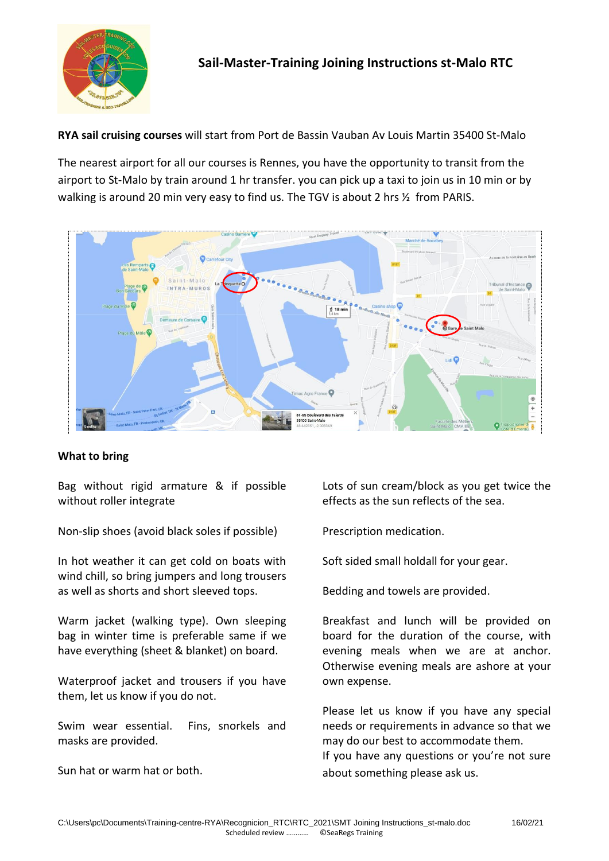

**RYA sail cruising courses** will start from Port de Bassin Vauban Av Louis Martin 35400 St-Malo

The nearest airport for all our courses is Rennes, you have the opportunity to transit from the airport to St-Malo by train around 1 hr transfer. you can pick up a taxi to join us in 10 min or by walking is around 20 min very easy to find us. The TGV is about 2 hrs  $\frac{1}{2}$  from PARIS.



## **What to bring**

Bag without rigid armature & if possible without roller integrate

Non-slip shoes (avoid black soles if possible)

In hot weather it can get cold on boats with wind chill, so bring jumpers and long trousers as well as shorts and short sleeved tops.

Warm jacket (walking type). Own sleeping bag in winter time is preferable same if we have everything (sheet & blanket) on board.

Waterproof jacket and trousers if you have them, let us know if you do not.

Swim wear essential. Fins, snorkels and masks are provided.

Sun hat or warm hat or both.

Lots of sun cream/block as you get twice the effects as the sun reflects of the sea.

Prescription medication.

Soft sided small holdall for your gear.

Bedding and towels are provided.

Breakfast and lunch will be provided on board for the duration of the course, with evening meals when we are at anchor. Otherwise evening meals are ashore at your own expense.

Please let us know if you have any special needs or requirements in advance so that we may do our best to accommodate them. If you have any questions or you're not sure about something please ask us.